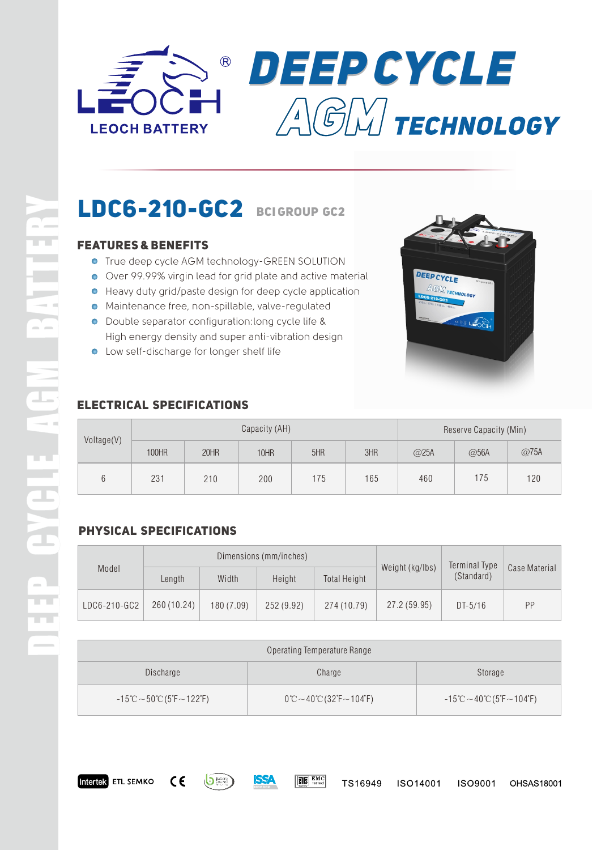



# **LDC6-210-GC2 BCIGROUP GC2**

# **Features & Benefits**

- **.** True deep cycle AGM technology-GREEN SOLUTION
- Over 99.99% virgin lead for grid plate and active material
- Heavy duty grid/paste design for deep cycle application
- Maintenance free, non-spillable, valve-regulated
- Double separator configuration:long cycle life & High energy density and super anti-vibration design
- Low self-discharge for longer shelf life



# **Electrical Specifications**

| Voltage(V) | Capacity (AH) |      |             |     |     | Reserve Capacity (Min) |      |      |
|------------|---------------|------|-------------|-----|-----|------------------------|------|------|
|            | 100HR         | 20HR | <b>10HR</b> | 5HR | 3HR | @25A                   | @56A | @75A |
|            | 231           | 210  | 200         | 175 | 165 | 460                    | 175  | 120  |

# **Physical Specifications**

Intertek ETL SEMKO CE

Batter<sub></sub>

SSA

| Model        | Dimensions (mm/inches) |            |            |                     |                 | Terminal Type |               |
|--------------|------------------------|------------|------------|---------------------|-----------------|---------------|---------------|
|              | Length                 | Width      | Height     | <b>Total Height</b> | Weight (kg/lbs) | (Standard)    | Case Material |
| LDC6-210-GC2 | 260 (10.24)            | 180 (7.09) | 252 (9.92) | 274 (10.79)         | 27.2 (59.95)    | $DT-5/16$     | PP            |

| Operating Temperature Range                                                            |                                                                      |                                                                                 |  |  |  |  |
|----------------------------------------------------------------------------------------|----------------------------------------------------------------------|---------------------------------------------------------------------------------|--|--|--|--|
| Discharge                                                                              | Charge                                                               | Storage                                                                         |  |  |  |  |
| $-15^{\circ}\text{C} \sim 50^{\circ}\text{C}$ (5 $\text{F} \sim 122^{\circ}\text{F}$ ) | $0^{\circ}$ C ~ 40 $^{\circ}$ C (32 $^{\circ}$ F ~ 104 $^{\circ}$ F) | $-15^{\circ}$ C $\sim$ 40 $^{\circ}$ C (5 $^{\circ}$ F $\sim$ 104 $^{\circ}$ F) |  |  |  |  |

R

 $\blacktriangleright$